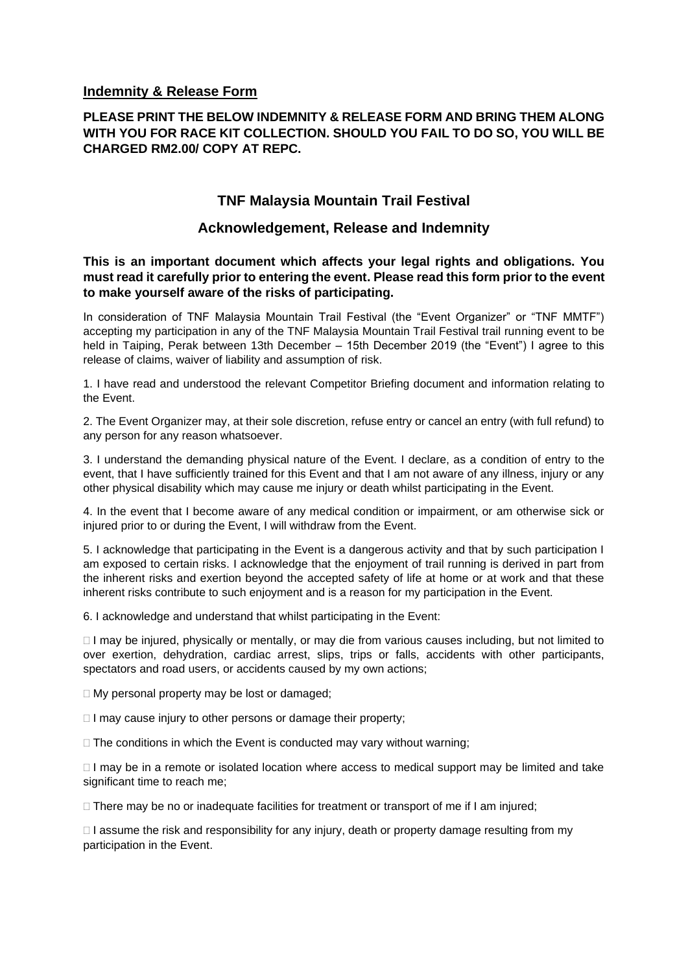## **Indemnity & Release Form**

## **PLEASE PRINT THE BELOW INDEMNITY & RELEASE FORM AND BRING THEM ALONG WITH YOU FOR RACE KIT COLLECTION. SHOULD YOU FAIL TO DO SO, YOU WILL BE CHARGED RM2.00/ COPY AT REPC.**

## **TNF Malaysia Mountain Trail Festival**

## **Acknowledgement, Release and Indemnity**

**This is an important document which affects your legal rights and obligations. You must read it carefully prior to entering the event. Please read this form prior to the event to make yourself aware of the risks of participating.** 

In consideration of TNF Malaysia Mountain Trail Festival (the "Event Organizer" or "TNF MMTF") accepting my participation in any of the TNF Malaysia Mountain Trail Festival trail running event to be held in Taiping, Perak between 13th December – 15th December 2019 (the "Event") I agree to this release of claims, waiver of liability and assumption of risk.

1. I have read and understood the relevant Competitor Briefing document and information relating to the Event.

2. The Event Organizer may, at their sole discretion, refuse entry or cancel an entry (with full refund) to any person for any reason whatsoever.

3. I understand the demanding physical nature of the Event. I declare, as a condition of entry to the event, that I have sufficiently trained for this Event and that I am not aware of any illness, injury or any other physical disability which may cause me injury or death whilst participating in the Event.

4. In the event that I become aware of any medical condition or impairment, or am otherwise sick or injured prior to or during the Event, I will withdraw from the Event.

5. I acknowledge that participating in the Event is a dangerous activity and that by such participation I am exposed to certain risks. I acknowledge that the enjoyment of trail running is derived in part from the inherent risks and exertion beyond the accepted safety of life at home or at work and that these inherent risks contribute to such enjoyment and is a reason for my participation in the Event.

6. I acknowledge and understand that whilst participating in the Event:

 $\Box$  I may be injured, physically or mentally, or may die from various causes including, but not limited to over exertion, dehydration, cardiac arrest, slips, trips or falls, accidents with other participants, spectators and road users, or accidents caused by my own actions;

 $\Box$  My personal property may be lost or damaged;

 $\Box$  I may cause injury to other persons or damage their property;

 $\Box$  The conditions in which the Event is conducted may vary without warning;

 $\Box$  I may be in a remote or isolated location where access to medical support may be limited and take significant time to reach me;

 $\Box$  There may be no or inadequate facilities for treatment or transport of me if I am injured;

 $\Box$  I assume the risk and responsibility for any injury, death or property damage resulting from my participation in the Event.